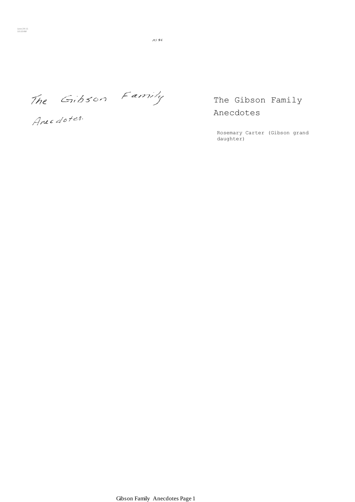$11545$ 

The Gibson Family

Anec dotes.

The Gibson Family Anecdotes

Rosemary Carter (Gibson grand daughter)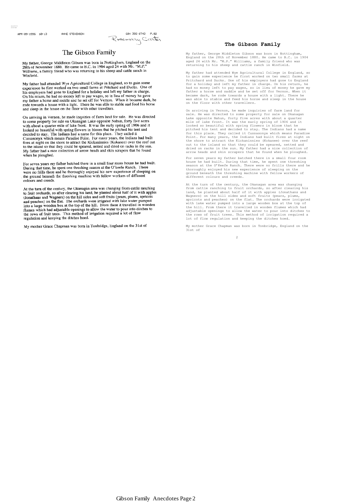APR-09-1996 10:13

10:47 AM

ANNE STEVENSON

684 392 6742 P.82 Rosemary Carter

## The Gibson Family

My father, George Middleton Gibson was born in Nottingham, England on the 28th of November 1880. He came to B.C. in 1904 aged 24 with Mr. "M.P."<br>Williams, a family friend who was returning to his sheep and cattle ranch in Winfield.

My father had attended Wye Agricultural College in England, so to gain some experience he first worked on two small farms at Pritchard and Ducks. One of experience he first worked on two small tarms at rincinar and Ducks.<br>
his employers had gone to England for a holiday and left my father in charge.<br>
On his return, he had no money left to pay wages, so in lieu of money he

On arriving in Vernon, he made inquiries of farm land for sale. He was directed On arriving in vertion, its masse inquiries or ratin ianu to sale. He was uncent to some property for sale on Okanagan Lake opposite Nahun, forty five acres with about a quarter mile of lake front. It was the early spring what a guardist in bloom that he pitched his tent and<br>decided to stay. The Indians had a name for this place. They called it Cussasonyx which means Paradise Point. For many years, the Indians had built<br>fires at night on the shore to attract the Kickaninnies (Kokanee) over the reef out the star mean of the short to state the November of the started and dried on racks in the sun.<br>My father had a nice collection of arrow heads and skin scrapers that he found when he ploughed.

For seven years my father batched there in a small four room house he had built.<br>During that time, he spent one threshing season at the O'keefe Ranch. There<br>were no frills there and he thoroughly enjoyed his new experience colours and creeds.

At the turn of the century, the Okanagan area was changing from cattle ranching<br>to fruit orchards, so after clearing his land, he planted about half of it with apples to fruit orchans and Wagners) on the hill sides and soft fruits (pears, plums, apriced<br>(Jonathans and Wagners) on the fill sides and soft fruits (pears, plums, apriced<br>and peaches) on the filat. The orchards were irrigated regulation and keeping the ditches hoed.

My mother Grace Chapman was born in Tonbridge, England on the 31st of

#### **The Gibson Family**

My father, George Middleton Gibson was born in Nottingham,<br>England on the 28th of November 1880. He came to B.C. in 1904<br>aged 24 with Mr. "M.P." Williams, a family friend who was<br>returning to his sheep and cattle ranch in

My father had attended Wye Agricultural College in England, so<br>to gain some experience he first worked on two small farms at<br>Pritchard and Ducks. One of his employers had gone to England<br>for a holiday and left my father in on the floor with other travellers.

On arriving in Vernon, he made inquiries of farm land for<br>sale. He was directed to some property for sale on Okanagan<br>Lake opposite Nahun, forty five acress with about a quarter<br>mile of lake front. It was the early spring for this place. They called it Cussasonyx which means Paradise Point. For many years, the Indians had built fires at night on the shore to attract the Kickaninnies (Kokanee) over the reef out to the island so that they cou

For seven years my father batched there in a small four room<br>house he had built. During that time, he spent one threshing<br>season at the O'Keefe Ranch. There were no frills there and he<br>thoroughly enjoyed his new experience

At the turn of the century, the Okanagan area was changing from cattle ranching to fruit orchards, so after clearing his<br>land, he planted about half of it with apples (Jonathans and<br>Wagners) on the hill sides and soft fruits (pears, plums,<br>apricots and peaches) on the flat. The or with lake water pumped into a large wooden box at the top of<br>the hill. From there it travelled in wooden flumes which had<br>adjustable openings to allow the water to pour into ditches to<br>the rows of fruit trees. This method lot of flow regulation and keeping the ditches hoed.

My mother Grace Chapman was born in Tonbridge, England on the 31st of

2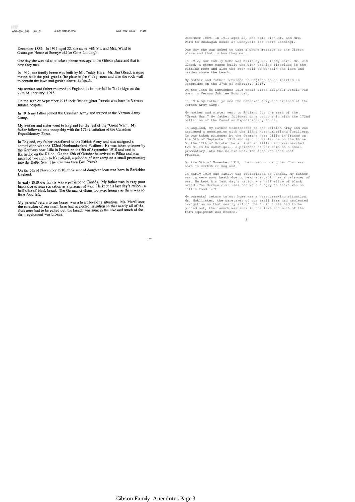December 1889. In 1911 aged 22, she came with Mr. and Mrs. Ward to Okanagan House at Sunnywold (or Carrs Landing).

ANE STEVENSON

One day she was asked to take a phone message to the Gibson place and that is how they met.

In 1912, our family home was built by Mr. Teddy Hare. Mr. Jim Gleed, a stone m 1974, surfamme fire place in the sitting room and also the rock wall<br>to contain the lawn and garden above the beach.

My mother and father returned to England to be married in Tonbridge on the 27th of February, 1913.

On the 16th of September 1915 their first daughter Pamela was born in Vernon Jubilee hospital.

In 1916 my father joined the Canadian Army and trained at the Vernon Army Camp.

My mother and sister went to England for the rest of the "Great War". My father followed on a troop ship with the 172nd battalion of the Canadian Expeditionary Force.

In England, my father transferred to the British Army and was assigned a commission with the 122nd Northumberland Fusiliers. He was taken prisoner by the Germans near Lille in France on the 5th of Scptember 1918 and sent

On the 5th of November 1918, their second daughter Joan was born in Berkshire England.

In early 1919 our family was repatriated to Canada. My father was in very poor heath due to near starvation as a prisoner of war. He kept his last day's ration - a half slice of black bread. The German civilians too were hungry as there was so little food left.

My parents' return to our home was a heart breaking situation. Mr. McAllister, the caretaker of our small farm had neglected irrigation so that nearly all of the fruit trees had to be pulled out, the launch was sunk in the farm equipment was broken.

December 1889. In 1911 aged 22, she came with Mr. and Mrs. Ward to Okanagan House at Sunnywold (or Carrs Landing).

One day she was asked to take a phone message to the Gibson place and that is how they met.

In 1912, our family home was built by Mr. Teddy Hare. Mr. Jim Gleed, a stone mason built the pink granite fireplace in the sitting room and also the rock wall to contain the lawn and garden above the beach.

My mother and father returned to England to be married in Tonbridge on the 27th of February, 1913.

On the 16th of September 1915 their first daughter Pamela was born in Vernon Jubilee Hospital.

In 1916 my father joined the Canadian Army and trained at the Vernon Army Camp.

My mother and sister went to England for the rest of the "Great War." My father followed on a troop ship with the 172nd battalion of the Canadian Expeditionary Force.

In England, my father transferred to the British Army and was assigned a commission with the 122nd Northumberland Fusiliers. He was taken prisoner by the Germans near Lille in France on the 5th of September 1918 and sent to Karlsruhe on the Rhine.<br>On the 12th of October he arrived at Pillau and was marched<br>two miles to Kamstigall, a prisoner of war camp on a small<br>promontory into the Baltic Sea. The area Prussia.

On the 5th of November 1918, their second daughter Joan was born in Berkshire England.

In early 1919 our family was repatriated to Canada. My father<br>was in very poor heath due to near starvation as a prisoner of<br>war. He kept his last day's ration - a half slice of black<br>bread. The German civilians too were h

My parents' return to our home was a heartbreaking situation.<br>Mr. McAllister, the caretaker of our small farm had neglected<br>irrigation so that nearly all of the fruit trees had to be<br>pulled out, the launch was sunk in the farm equipment was broken.

3 September 2014 and 2014 and 3 September 2014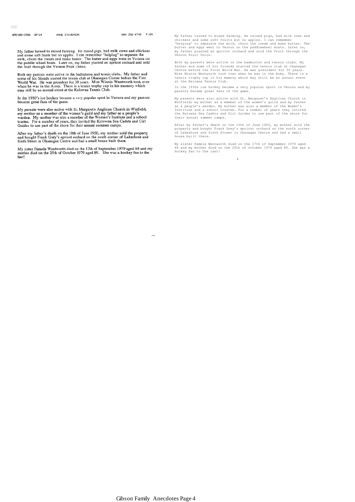008-09-1996 10:14 ANNE STEVENSON 604 392 6742 P.04

My father turned to mixed farming. He raised pigs, had milk cows and chickens<br>and some soft fruits but no apples. I can remember "helping" to separate the<br>milk, chum the cream and make butter. The butter and eggs went to V

Both my parents were active in the badminton and tennis clubs. My father and<br>some of his friends started the tennis club at Okanagan Centre before the First<br>World War. He was president for 30 years. Miss Winnie Wentworth t

In the 1930's ice hockey became a very popular sport in Vernon and my parents became great fans of the game.

My parents were also active with St. Margaret's Anglican Church in Winfield; my mother as a member of the women's guild and my father as a people's<br>warden. My mother was also a member of the Women's Institute and a school my trustee. For a number of years, they invited the Kelowna Sea Cadets and Girl Guides to use part of the shore for their annual summer camps.

After my father's death on the 10th of June 1950, my mother sold the property and bought Frank Grey's apricot orchard on the south corner of Lakeshore and Sixth Street in Okanagan Centre and had a small house built there.

My sister Pamela Wentworth died on the 17th of September 1979 aged 64 and my mother died on the 25th of October 1979 aged 89. She was a hockey fan to the last!

My father turned to mixed farming. He raised pigs, had milk cows and chickens and some soft fruits but no apples. I can remember "helping" to separate the milk, churn the cream and make butter. The butter and eggs went to Vernon on the paddlewheel boats. Later on, my father planted an apricot orchard and sold the fruit through the Vernon Fruit Union.

Both my parents were active in the badminton and tennis clubs. My<br>father and some of his friends started the tennis club at Okanagan<br>Centre before the First World War. He was president for 30 years.<br>Miss Winnie Wentworth t

In the 1930s ice hockey became a very popular sport in Vernon and my parents became great fans of the game.

My parents were also active with St. Margaret's Anglican Church in Winfield, my mother as a member of the women's guild and my father as a people's warden. My mother was also a member of the Women's Institute and a school

After my father"s death on the 10th of June 1950, my mother sold the property and bought Frank Grey"s apricot orchard on the south corner of Lakeshore and Sixth Street in Okanagan Centre and had a small house built there.

My sister Pamela Wentworth died on the 17th of September 1979 aged 64 and my mother died on the 25th of October 1979 aged 89. She was a hockey fan to the last!

4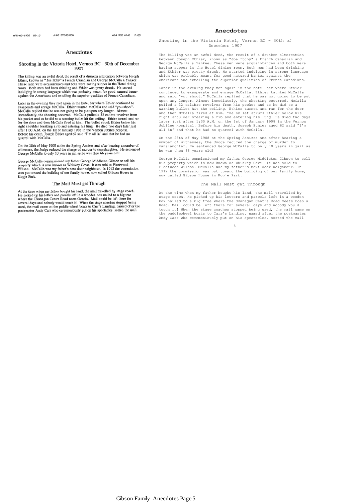#### **Anecdotes**

#### Anecdotes

#### Shooting in the Victoria Hotel, Vernon BC - 30th of December 1907

The killing was an awful deed, the result of a drunken altercation between Joseph Ethier, known as "Joe Itchy" a French Canadian and George McCalla a Yankee.<br>These men were acquaintances and both were having supper in the I ness men were acquaintances and ooin were naving supper in the rioter uniner.<br>Toom. Both men had been drinking and Ethier was pretty drunk. He started<br>indulging in strong language which was probably meant for good nature

Later in the evening they met again in the hotel bar where Ethier continued to exasperate and enrage McCalla. Ethier taunted McCalla and said "you shoot". McCalla replied that he was not going to be put upon any longer. Al

On the 28th of May 1908 at the the Spring Assizes and after hearing a number of witnesses, the Judge reduced the charge of murder to manslaughter. He sentenced George McCalla to only 10 years in jail as he was then 66 years old!

George McCalla commissioned my father George Middleton Gibson to sell his property which is now known as Whiskey Cove. It was sold to Fleetwood wisson. McCalla was my father's next door neighbour. In 1912 the commission w Kopje Park.

#### The Mail Must get Through

At the time when my father bought his land, the mail travelled by stage coach.<br>He picked up his letters and parcels left in a wooden box nailed to a big tree<br>where the Okanagan Centre Road neets Oceola. Mail could be left d ofter the postmaster Andy Carr who ceremoniously put on his spectacles, sorted the mail

Shooting in the Victoria Hotel, Vernon BC - 30th of December 1907

The killing was an awful deed, the result of a drunken altercation between Joseph Ethier, known as "Joe Itchy" a French Canadian and George McCalla a Yankee. These men were acquaintances and both were having supper in the Hotel dining room. Both men had been drinking<br>and Ethier was pretty drunk. He started indulging in strong language<br>which was probably meant for good natured banter against the Americans and extolling the superior qualities of French Canadians.

Later in the evening they met again in the hotel bar where Ethier continued to exasperate and enrage McCalla. Ethier taunted McCalla and said "you shoot." McCalla replied that he was not going to be put<br>upon any longer. Almost immediately, the shooting occurred. McCalla<br>pulled a 32 calibre revolver from his pocket and as he did so a<br>warning bullet hit t and then McCalla fired at him. The bullet struck Ethier below his<br>right shoulder breaking a rib and entering his lung. He died two days<br>later just after 1:00 A.M. on the 1st of January 1908 in the Vernon<br>Jubilee Hospital.

On the 28th of May 1908 at the Spring Assizes and after hearing a number of witnesses, the Judge reduced the charge of murder to manslaughter. He sentenced George McCalla to only 10 years in jail as he was then 66 years old!

George McCalla commissioned my father George Middleton Gibson to sell<br>his property which is now known as Whiskey Cove. It was sold to<br>Fleetwood Wilson. McCalla was my father's next door neighbour. In 1912 the commission was put toward the building of our family home, now called Gibson House in Kopje Park.

#### The Mail Must get Through

At the time when my father bought his land, the mail travelled by stage coach. He picked up his letters and parcels left in a wooden<br>box nailed to a big tree where the Okanagan Centre Road meets Oceola<br>Road. Mail could be left there for several days and nobody would<br>touch it! When the st the paddlewheel boats to Carr"s Landing, named after the postmaster Andy Carr who ceremoniously put on his spectacles, sorted the mail

<u>5. Andrew State Communication of the State Communication</u>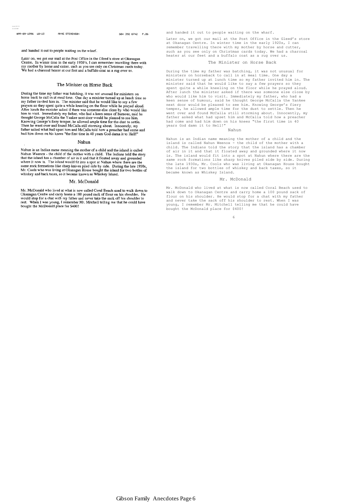11:32 AM

#### APR-09-1996 10:15 ANE STEVENSON

604 392 6742 P.06

and handed it out to people waiting on the wharf.

Later on, we got our mail at the Post Office in the Gleed's store at Okanagan<br>Centre. In winter time in the early 1920's, I can remember travelling there with my mother by horse and cutter, such as you see only on Christmas cards today.<br>We had a charcoal heater at our feet and a buffalo coat as a rug over us.

#### The Minister on Horse Back

During the time my father was batching, it was not unusual for ministers on During the time my latter was backing, it was not unusual for ministers on<br>horse back to call in at meal time. One day a minister turned up at lunch time so<br>my father invited him in. The minister said that he would like to father asked what had upset him and McCalla told how a preacher had come and had him down on his knees "the first time in 40 years God damn it to Hell!"

#### Nahun

Nahun is an Indian name meaning the mother of a child and the island is called Nahun Weenox - the child of the mother with a child. The Indians told the story that the island has a chamber of air in it and that it floated

#### Mr. McDonald

Mr. McDonald who lived at what is now called Coral Beach used to walk down to Okanagan Centre and carry home a 100 pound sack of flour on his shoulder. He would stop for a chat with my father and never take the sack off hi The TWhen I was young, I remember Mr. Mitchell telling me that he could have<br>bought the McDonald place for \$400!

and handed it out to people waiting on the wharf.

Later on, we got our mail at the Post Office in the Gleed"s store at Okanagan Centre. In winter time in the early 1920s, I can remember travelling there with my mother by horse and cutter, such as you see only on Christmas cards today. We had a charcoal heater at our feet and a buffalo coat as a rug over us.

#### The Minister on Horse Back

During the time my father was batching, it was not unusual for ministers on horseback to call in at meal time. One day a minister turned up at lunch time so my father invited him in. The minister said that he would like to say a few prayers so they spent quite a while kneeling on the floor while he prayed aloud. After lunch the minister asked if there was someone else close by who would like him to visit. Immediately my father, who had a keen sense of humour, said he thought George McCalla the Yankee next door would be pleased to see him. Knowing George"s fiery temper, he allowed ample time for the dust to settle. Then he went over and found McCalla still storming about. Innocently, my father asked what had upset him and McCalla told how a preacher had come and had him down on his knees "the first time in 40 years God damn it to Hell!"

#### Nahun

Nahun is an Indian name meaning the mother of a child and the island is called Nahun Weenox - the child of the mother with a child. The Indians told the story that the island has a chamber of air in it and that it floated away and grounded where it now is. The island would fit into a spot at Nahun where there are the same rock formations like sharp knives piled side by side. During the late 1930s, Mr. Cools who was living at Okanagan House bought the island for two bottles of whiskey and back taxes, so it became known as Whiskey Island.

#### Mr. McDonald

Mr. McDonald who lived at what is now called Coral Beach used to walk down to Okanagan Centre and carry home a 100 pound sack of flour on his shoulder. He would stop for a chat with my father and never take the sack off his shoulder to rest. When I was young, I remember Mr. Mitchell telling me that he could have bought the McDonald place for \$400!

<u>6 and 200 and 200 and 200 and 200 and 200 and 200 and 200 and 200 and 200 and 200 and 200 and 200 and 200 and 200 and 200 and 200 and 200 and 200 and 200 and 200 and 200 and 200 and 200 and 200 and 200 and 200 and 200 and</u>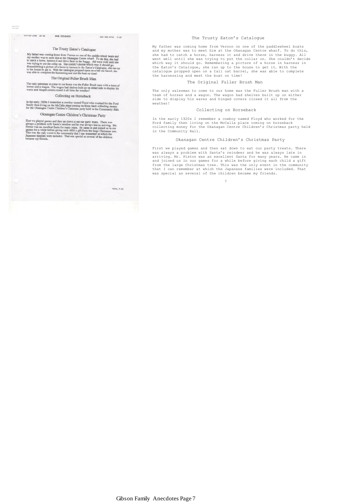## 

TOTAL P.87

### The Trusty Eaton's Catalogue

My father was coming home from Vernous 3 Catalogue<br>of paddle-wheel boats and my mother was to meet him at the Okangan Cente wharf. To do this, she had<br>to catch a horse, harenes it and drive there in the bugger. All went we

### The Original Fuller Brush Man

The only salesman to come to our home was the Fuller Brush man with a team of<br>horses and a wagon. The wagon had shelves built up on either side to display his<br>wares and hinged covers closed it all form the weather!

## Collecting on Horseback

In the early 1920s I remember a cowboy named Floyd who worked for the Ford family then living on the McCalla place coming on horse back collecting money for the Okanagan Centre Children's Christmas party held in the Commun

## Okanagan Centre Children's Christmas Party

 $\label{lem:main}$  First we played games and then and down to eat our party treats. There was always a problem with Sama's enidder and the same always a problem with Sama's enidder and accelerate size and a consequence of the game

#### The Trusty Eaton's Catalogue

My father was coming home from Vernon on one of the paddlewheel boats and my mother was to meet him at the Okanagan Centre wharf. To do this, she had to catch a horse, harness it and drive there in the buggy. All went well until she was trying to put the collar on. She couldn't decide<br>which way it should go. Remembering a picture of a horse in harness in<br>the Eaton's Catalogue, she ran up to the house to get it. With the<br>catalogue p the harnessing and meet the boat on time!

#### The Original Fuller Brush Man

The only salesman to come to our home was the Fuller Brush man with a team of horses and a wagon. The wagon had shelves built up on either side to display his wares and hinged covers closed it all from the weather!

#### Collecting on Horseback

In the early 1920s I remember a cowboy named Floyd who worked for the Ford family then living on the McCalla place coming on horseback collecting money for the Okanagan Centre Children"s Christmas party held in the Community Hall.

#### Okanagan Centre Children"s Christmas Party

First we played games and then sat down to eat our party treats. There<br>was always a problem with Santa's reindeer and he was always late in<br>arriving. Mr. Pixton was an excellent Santa for many years. He came in and joined us in our games for a while before giving each child a gift from the large Christmas tree. This was the only event in the community that I can remember at which the Japanese families were included. That was special as several of the children became my friends.

7